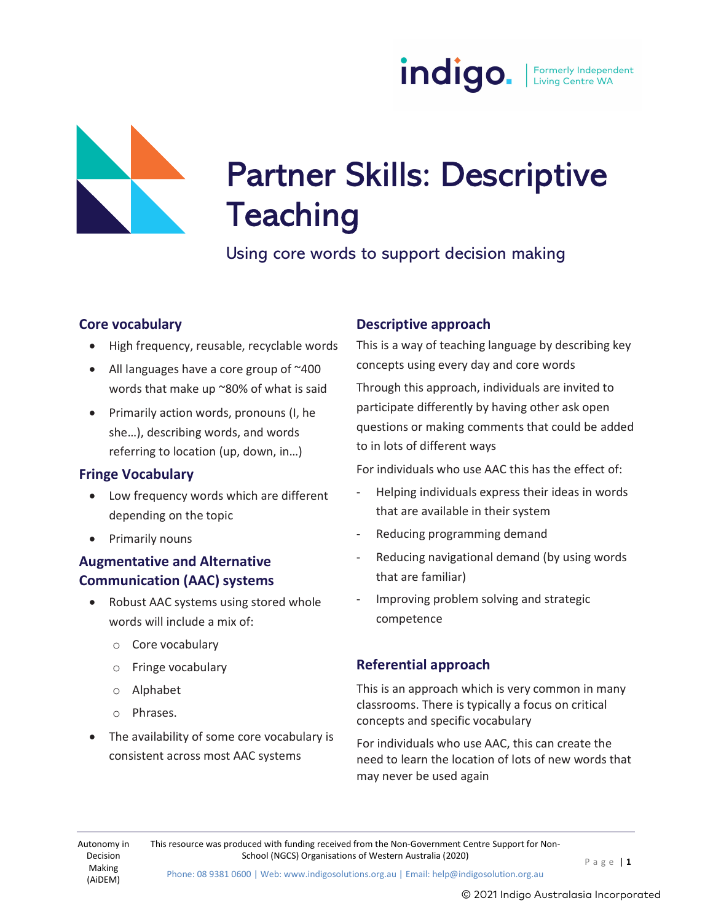



# Partner Skills: Descriptive **Teaching**

Using core words to support decision making

# Core vocabulary

- High frequency, reusable, recyclable words
- All languages have a core group of  $~100$ words that make up ~80% of what is said
- Primarily action words, pronouns (I, he she…), describing words, and words referring to location (up, down, in…)

# Fringe Vocabulary

- Low frequency words which are different depending on the topic
- Primarily nouns

# Augmentative and Alternative Communication (AAC) systems

- Robust AAC systems using stored whole words will include a mix of:
	- o Core vocabulary
	- o Fringe vocabulary
	- o Alphabet
	- o Phrases.
- The availability of some core vocabulary is consistent across most AAC systems

# Descriptive approach

This is a way of teaching language by describing key concepts using every day and core words Through this approach, individuals are invited to participate differently by having other ask open questions or making comments that could be added to in lots of different ways

For individuals who use AAC this has the effect of:

- Helping individuals express their ideas in words that are available in their system
- Reducing programming demand
- Reducing navigational demand (by using words that are familiar)
- Improving problem solving and strategic competence

# Referential approach

This is an approach which is very common in many classrooms. There is typically a focus on critical concepts and specific vocabulary

For individuals who use AAC, this can create the need to learn the location of lots of new words that may never be used again

Autonomy in Decision Making (AiDEM)

This resource was produced with funding received from the Non-Government Centre Support for Non-School (NGCS) Organisations of Western Australia (2020) P a g e | 1

Phone: 08 9381 0600 | Web: www.indigosolutions.org.au | Email: help@indigosolution.org.au